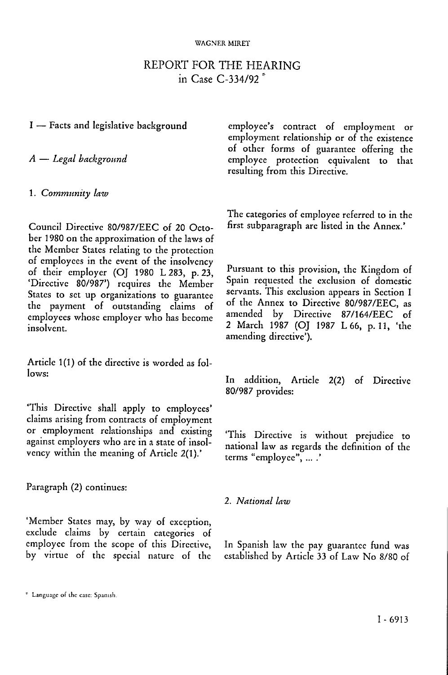#### WAGNER MIRET

# REPORT FOR THE HEARING in Case C-334/92 \*

## I — Facts and legislative background

*A* — *Legal background* 

1. *Community law* 

Council Directive 80/987/EEC of 20 October 1980 on the approximation of the laws of the Member States relating to the protection of employees in the event of the insolvency of their employer (OJ 1980 L 283, p. 23, 'Directive 80/987') requires the Member States to set up organizations to guarantee the payment of outstanding claims of employees whose employer who has become insolvent.

Article 1(1) of the directive is worded as follows:

'This Directive shall apply to employees' claims arising from contracts of employment or employment relationships and existing against employers who arc in a state of insolvency within the meaning of Article 2(1).'

Paragraph (2) continues:

'Member States may, by way of exception, exclude claims by certain categories of employee from the scope of this Directive, by virtue of the special nature of the

The categories of employee referred to in the first subparagraph are listed in the Annex.'

Pursuant to this provision, the Kingdom of Spain requested the exclusion of domestic servants. This exclusion appears in Section I of the Annex to Directive 80/987/EEC, as amended by Directive 87/164/EEC of 2 March 1987 (OJ 1987 L 66, p. 11, 'the amending directive').

In addition, Article 2(2) of Directive 80/987 provides:

'This Directive is without prejudice to national law as regards the definition of the terms "employee", ... .'

## 2. *National law*

In Spanish law the pay guarantee fund was established by Article 33 of Law No 8/80 of

employee's contract of employment or employment relationship or of the existence of other forms of guarantee offering the employee protection equivalent to that resulting from this Directive.

e Language oi lhe casc: Spanish.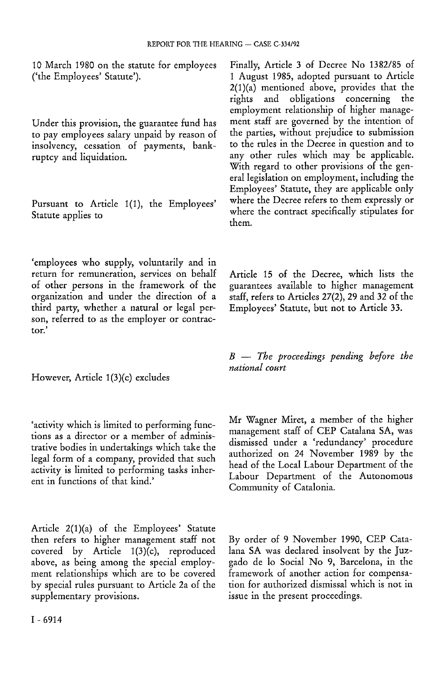10 March 1980 on the statute for employees ('the Employees' Statute').

Under this provision, the guarantee fund has to pay employees salary unpaid by reason of insolvency, cessation of payments, bankruptcy and liquidation.

Pursuant to Article 1(1), the Employees' Statute applies to

'employees who supply, voluntarily and in return for remuneration, services on behalf of other persons in the framework of the organization and under the direction of a third party, whether a natural or legal person, referred to as the employer or contractor.'

However, Article 1(3)(c) excludes

'activity which is limited to performing functions as a director or a member of administrative bodies in undertakings which take the legal form of a company, provided that such activity is limited to performing tasks inherent in functions of that kind.'

Article 2(1)(a) of the Employees' Statute then refers to higher management staff not covered by Article 1(3)(c), reproduced above, as being among the special employment relationships which are to be covered by special rules pursuant to Article 2a of the supplementary provisions.

Finally, Article 3 of Decree No 1382/85 of 1 August 1985, adopted pursuant to Article  $2(1)(a)$  mentioned above, provides that the rights and obligations concerning the employment relationship of higher management staff are governed by the intention of the parties, without prejudice to submission to the rules in the Decree in question and to any other rules which may be applicable. With regard to other provisions of the general legislation on employment, including the Employees' Statute, they are applicable only where the Decree refers to them expressly or where the contract specifically stipulates for them.

Article 15 of the Decree, which lists the guarantees available to higher management staff, refers to Articles 27(2), 29 and 32 of the Employees' Statute, but not to Article 33.

*B* — *The proceedings pending before the national court* 

Mr Wagner Miret, a member of the higher management staff of CEP Catalana SA, was dismissed under a 'redundancy' procedure authorized on 24 November 1989 by the head of the Local Labour Department of the Labour Department of the Autonomous Community of Catalonia.

By order of 9 November 1990, CEP Catalana SA was declared insolvent by the Juzgado de lo Social No 9, Barcelona, in the framework of another action for compensation for authorized dismissal which is not in issue in the present proceedings.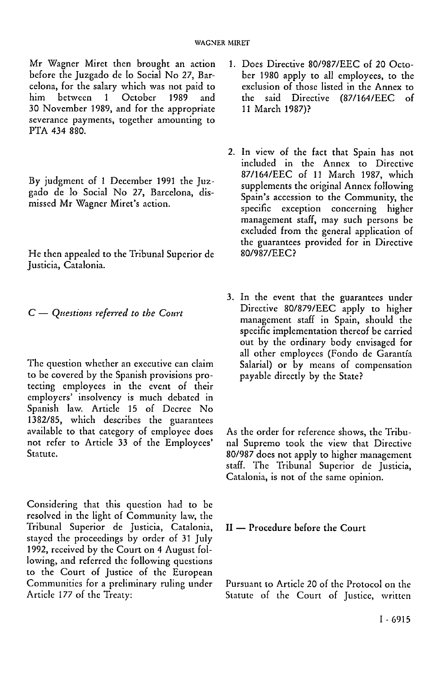Mr Wagner Miret then brought an action before the Juzgado de Io Social No 27, Barcelona, for the salary which was not paid to him between 1 October 1989 and 30 November 1989, and for the appropriate severance payments, together amounting to PTA 434 880.

By judgment of 1 December 1991 the Juzgado de lo Social No 27, Barcelona, dismissed Mr Wagner Miret's action.

He then appealed to the Tribunal Superior de Justicia, Catalonia.

C — *Questions referred to the Court* 

The question whether an executive can claim to be covered by the Spanish provisions protecting employees in the event of their employers' insolvency is much debated in Spanish law. Article 15 of Decree No 1382/85, which describes the guarantees available to that category of employee docs not refer to Article 33 of the Employees' Statute.

Considering that this question had to be resolved in the light of Community law, the Tribunal Superior de Justicia, Catalonia, stayed the proceedings by order of 31 July 1992, received by the Court on 4 August following, and referred the following questions to the Court of Justice of the European Communities for a preliminary ruling under Article 177 of the Treaty:

- 1. Does Directive 80/987/EEC of 20 October 1980 apply to all employees, to the exclusion of those listed in the Annex to the said Directive (87/164/EEC of 11 March 1987)?
- 2. In view of the fact that Spain has not included in the Annex to Directive 87/164/EEC of 11 March 1987, which supplements the original Annex following Spain's accession to the Community, the specific exception concerning higher management staff, may such persons be excluded from the general application of the guarantees provided for in Directive 80/987/EEC?
- 3. In the event that the guarantees under Directive 80/879/EEC apply to higher management staff in Spain, should the specific implementation thereof be carried out by the ordinary body envisaged for all other employees (Fondo de Garantía Salarial) or by means of compensation payable directly by the State?

As the order for reference shows, the Tribunal Supremo took the view that Directive 80/987 does not apply to higher management staff. The Tribunal Superior de Justicia, Catalonia, is not of the same opinion.

II — Procedure before the Court

Pursuant to Article 20 of the Protocol on the Statute of the Court of Justice, written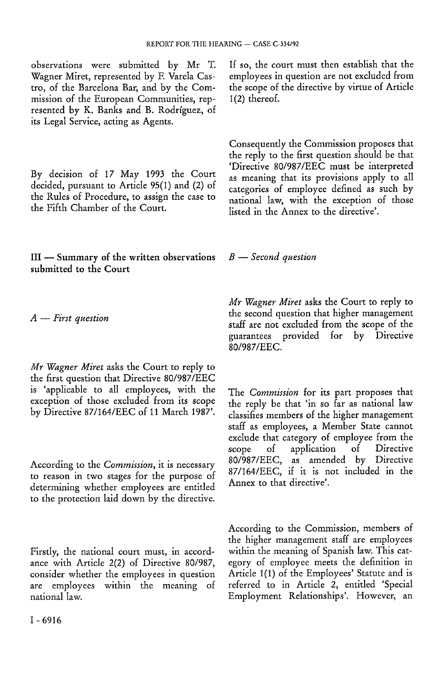observations were submitted by Mr T. Wagner Miret, represented by F. Varela Castro, of the Barcelona Bar, and by the Commission of the European Communities, represented by K. Banks and B. Rodriguez, of its Legal Service, acting as Agents.

By decision of 17 May 1993 the Court decided, pursuant to Article 95(1) and (2) of the Rules of Procedure, to assign the case to the Fifth Chamber of the Court.

Ill — Summary of the written observations submitted to the Court

*A* — *First question* 

*Mr Wagner Miret* asks the Court to reply to the first question that Directive 80/987/EEC is 'applicable to all employees, with the exception of those excluded from its scope by Directive 87/164/EEC of 11 March 1987'.

According to the *Commission,* it is necessary to reason in two stages for the purpose of determining whether employees are entitled to the protection laid down by the directive.

Firstly, the national court must, in accordance with Article 2(2) of Directive 80/987, consider whether the employees in question are employees within the meaning of national law.

If so, the court must then establish that the employees in question are not excluded from the scope of the directive by virtue of Article 1(2) thereof.

Consequently the Commission proposes that the reply to the first question should be that 'Directive 80/987/EEC must be interpreted as meaning that its provisions apply to all categories of employee defined as such by national law, with the exception of those listed in the Annex to the directive'.

*B* — *Second question* 

*Mr Wagner Miret* asks the Court to reply to the second question that higher management staff are not excluded from the scope of the guarantees provided for by Directive 80/987/EEC.

The *Commission* for its part proposes that the reply be that 'in so far as national law classifies members of the higher management staff as employees, a Member State cannot exclude that category of employee from the<br>scope of application of Directive scope of application of Directive 80/987/EEC, as amended by Directive 87/164/EEC, if it is not included in the Annex to that directive'.

According to the Commission, members of the higher management staff are employees within the meaning of Spanish law. This category of employee meets the definition in Article 1(1) of the Employees' Statute and is referred to in Article 2, entitled 'Special Employment Relationships'. However, an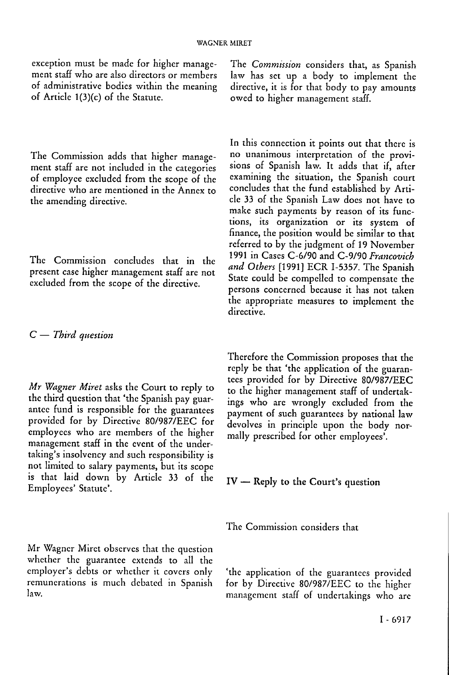exception must be made for higher management staff who are also directors or members of administrative bodies within the meaning of Article l(3)(c) of the Statute.

The Commission adds that higher management staff are not included in the categories of employee excluded from the scope of the directive who are mentioned in the Annex to the amending directive.

The Commission concludes that in the present case higher management staff are not excluded from the scope of the directive.

## C — *Third question*

*Mr Wagner Miret* asks the Court to reply to the third question that 'the Spanish pay guarantee fund is responsible for the guarantees provided for by Directive 80/987/EEC for employees who are members of the higher management staff in the event of the undertaking's insolvency and such responsibility is not limited to salary payments, but its scope is that laid down by Article 33 of the Employees' Statute'.

Mr Wagner Miret observes that the question whether the guarantee extends to all the employer's debts or whether it covers only remunerations is much debated in Spanish law.

The *Commission* considers that, as Spanish law has set up a body to implement the directive, it is for that body to pay amounts owed to higher management staff.

In this connection it points out that there is no unanimous interpretation of the provisions of Spanish law. It adds that if, after examining the situation, the Spanish court concludes that the fund established by Article 33 of the Spanish Law does not have to make such payments by reason of its functions, its organization or its system of finance, the position would be similar to that referred to by the judgment of 19 November 1991 in Cases C-6/90 and C-9/90 *Francovich and Others* [1991] ECR 1-5357. The Spanish State could be compelled to compensate the persons concerned because it has not taken the appropriate measures to implement the directive.

Therefore the Commission proposes that the reply be that 'the application of the guarantees provided for by Directive 80/987/EEC to the higher management staff of undertakings who are wrongly excluded from the payment of such guarantees by national law devolves in principle upon the body normally prescribed for other employees'.

IV — Reply to the Court's question

The Commission considers that

'the application of the guarantees provided for by Directive 80/987/EEC to the higher management staff of undertakings who are